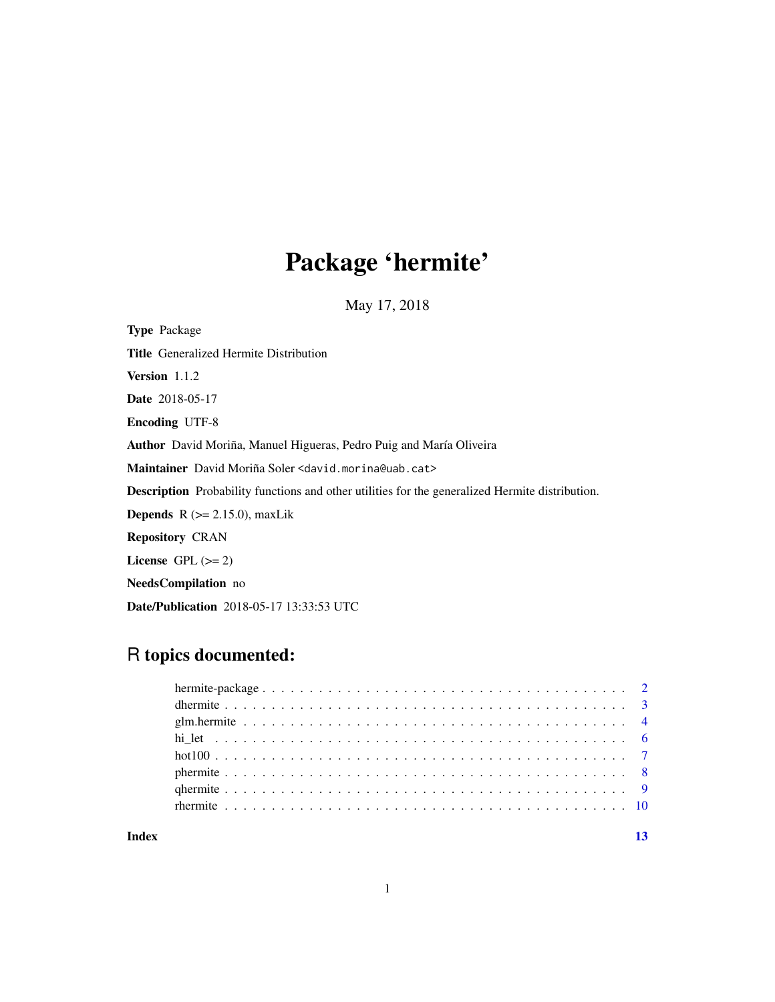# Package 'hermite'

May 17, 2018

<span id="page-0-0"></span>Type Package Title Generalized Hermite Distribution Version 1.1.2 Date 2018-05-17 Encoding UTF-8 Author David Moriña, Manuel Higueras, Pedro Puig and María Oliveira Maintainer David Moriña Soler <david.morina@uab.cat> Description Probability functions and other utilities for the generalized Hermite distribution. **Depends**  $R$  ( $>= 2.15.0$ ), maxLik Repository CRAN License GPL  $(>= 2)$ NeedsCompilation no Date/Publication 2018-05-17 13:33:53 UTC

## R topics documented:

| Index | 13 |  |
|-------|----|--|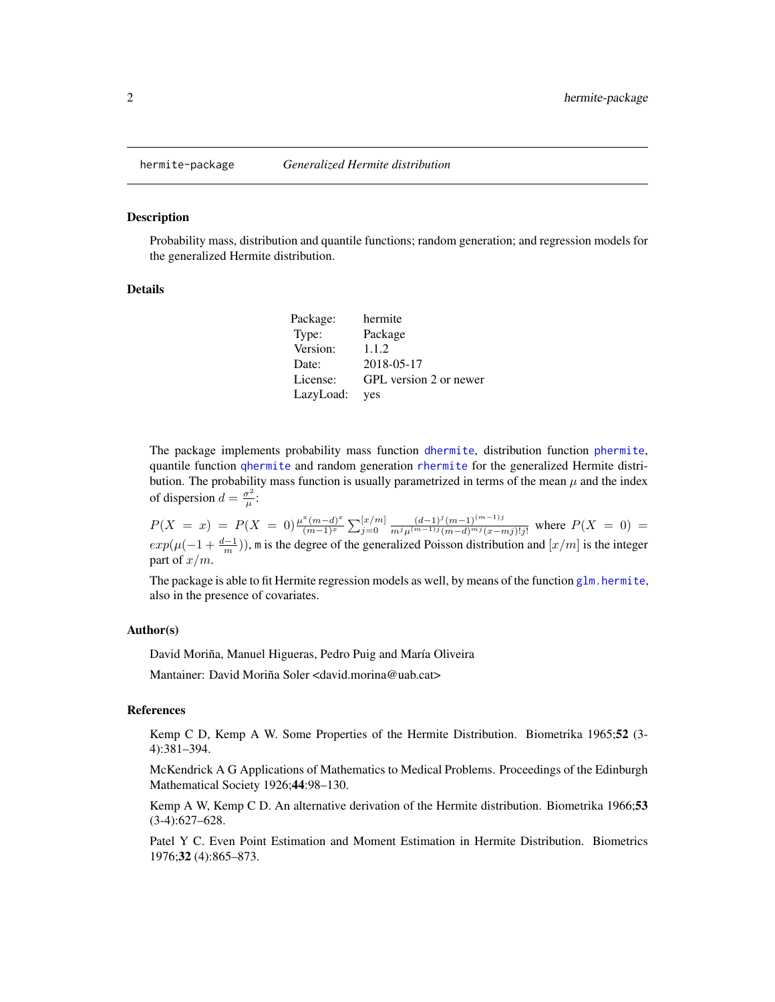<span id="page-1-1"></span><span id="page-1-0"></span>

#### **Description**

Probability mass, distribution and quantile functions; random generation; and regression models for the generalized Hermite distribution.

#### Details

| Package:  | hermite                |
|-----------|------------------------|
| Type:     | Package                |
| Version:  | 1.1.2                  |
| Date:     | 2018-05-17             |
| License:  | GPL version 2 or newer |
| LazyLoad: | <b>ves</b>             |

The package implements probability mass function [dhermite](#page-2-1), distribution function [phermite](#page-7-1), quantile function [qhermite](#page-8-1) and random generation [rhermite](#page-9-1) for the generalized Hermite distribution. The probability mass function is usually parametrized in terms of the mean  $\mu$  and the index of dispersion  $d = \frac{\sigma^2}{u}$  $\frac{\sigma^2}{\mu}$ :

 $P(X = x) = P(X = 0) \frac{\mu^x (m-d)^x}{(m-1)x}$  $\frac{\binom{x}{m-d}x}{(m-1)^x}$   $\sum_{j=0}^{\lfloor x/m \rfloor} \frac{(d-1)^j (m-1)^{(m-1)j}}{m^j \mu^{(m-1)j} (m-d)^{mj} (x-j)}$  $\frac{(a-1)^{j} (m-1)^{j} (m-j)^{j} (m-j)^{k}}{m^{j} \mu^{(m-1)j} (m-d)^{m j} (x-mj)! j!}$  where  $P(X = 0) =$  $exp(\mu(-1+\frac{d-1}{m}))$ , m is the degree of the generalized Poisson distribution and  $[x/m]$  is the integer part of  $x/m$ .

The package is able to fit Hermite regression models as well, by means of the function  $g\ln h$ . hermite, also in the presence of covariates.

#### Author(s)

David Moriña, Manuel Higueras, Pedro Puig and María Oliveira

Mantainer: David Moriña Soler <david.morina@uab.cat>

#### References

Kemp C D, Kemp A W. Some Properties of the Hermite Distribution. Biometrika 1965;52 (3- 4):381–394.

McKendrick A G Applications of Mathematics to Medical Problems. Proceedings of the Edinburgh Mathematical Society 1926;44:98–130.

Kemp A W, Kemp C D. An alternative derivation of the Hermite distribution. Biometrika 1966;53 (3-4):627–628.

Patel Y C. Even Point Estimation and Moment Estimation in Hermite Distribution. Biometrics 1976;32 (4):865–873.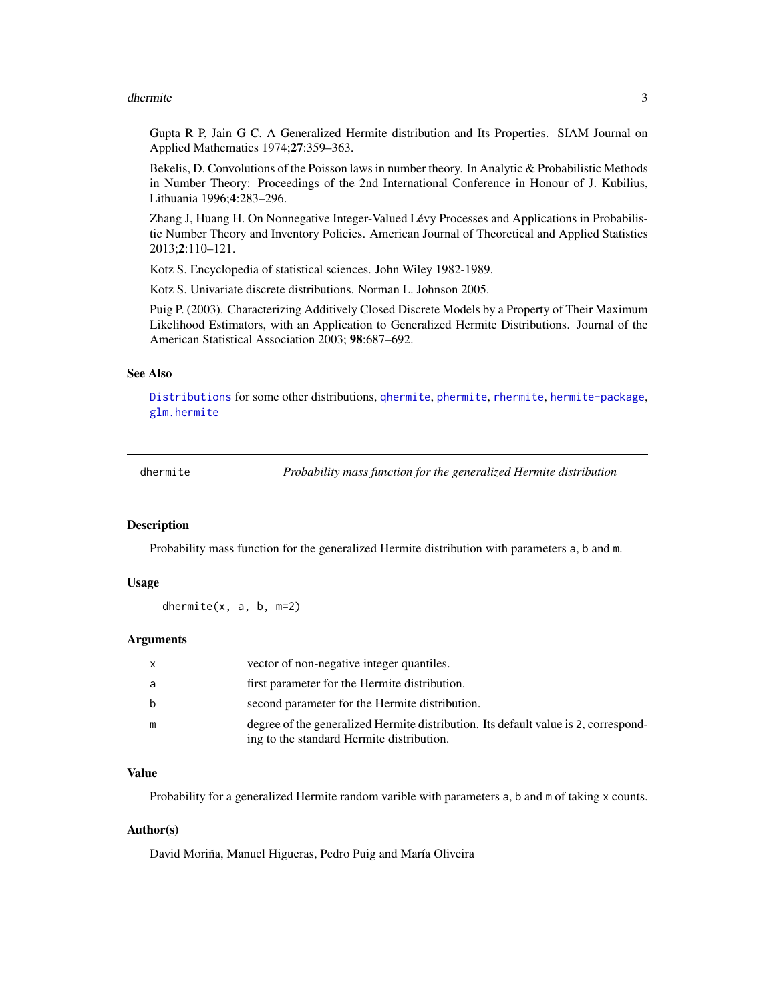#### <span id="page-2-0"></span>dhermite 3

Gupta R P, Jain G C. A Generalized Hermite distribution and Its Properties. SIAM Journal on Applied Mathematics 1974;27:359–363.

Bekelis, D. Convolutions of the Poisson laws in number theory. In Analytic & Probabilistic Methods in Number Theory: Proceedings of the 2nd International Conference in Honour of J. Kubilius, Lithuania 1996;4:283–296.

Zhang J, Huang H. On Nonnegative Integer-Valued Lévy Processes and Applications in Probabilistic Number Theory and Inventory Policies. American Journal of Theoretical and Applied Statistics 2013;2:110–121.

Kotz S. Encyclopedia of statistical sciences. John Wiley 1982-1989.

Kotz S. Univariate discrete distributions. Norman L. Johnson 2005.

Puig P. (2003). Characterizing Additively Closed Discrete Models by a Property of Their Maximum Likelihood Estimators, with an Application to Generalized Hermite Distributions. Journal of the American Statistical Association 2003; 98:687–692.

#### See Also

[Distributions](#page-0-0) for some other distributions, [qhermite](#page-8-1), [phermite](#page-7-1), [rhermite](#page-9-1), [hermite-package](#page-1-1), [glm.hermite](#page-3-1)

<span id="page-2-1"></span>dhermite *Probability mass function for the generalized Hermite distribution*

#### Description

Probability mass function for the generalized Hermite distribution with parameters a, b and m.

#### Usage

dhermite(x, a, b, m=2)

#### Arguments

| $\mathsf{x}$ | vector of non-negative integer quantiles.                                                                                        |
|--------------|----------------------------------------------------------------------------------------------------------------------------------|
| a            | first parameter for the Hermite distribution.                                                                                    |
| b            | second parameter for the Hermite distribution.                                                                                   |
| m            | degree of the generalized Hermite distribution. Its default value is 2, correspond-<br>ing to the standard Hermite distribution. |

#### Value

Probability for a generalized Hermite random varible with parameters a, b and m of taking x counts.

#### Author(s)

David Moriña, Manuel Higueras, Pedro Puig and María Oliveira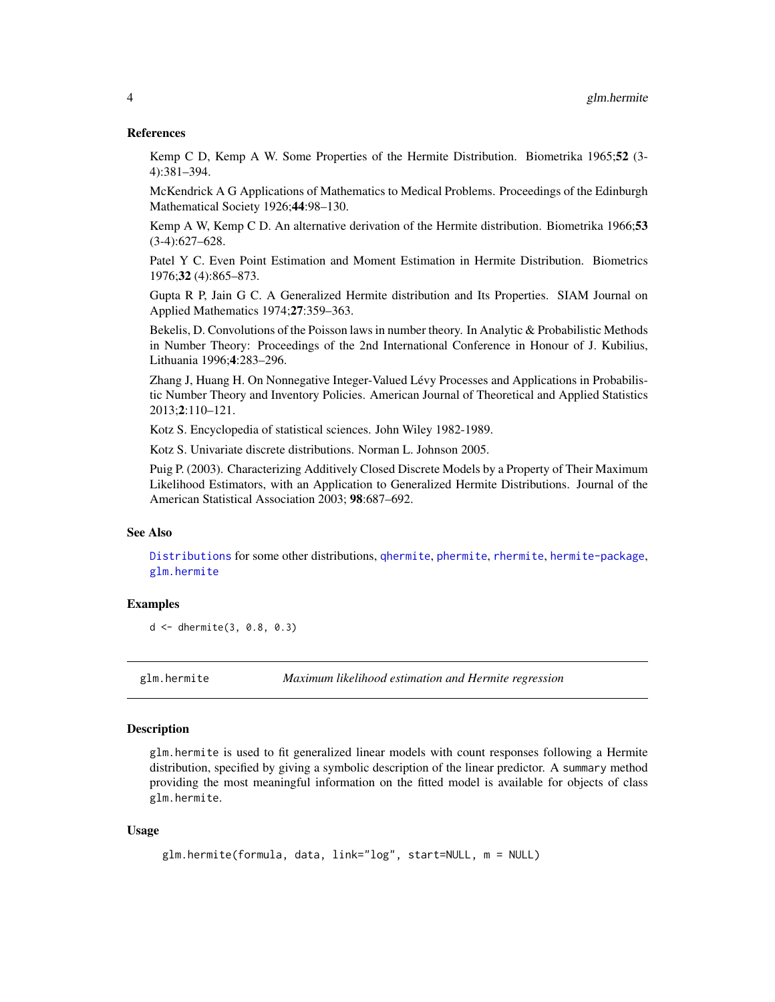#### <span id="page-3-0"></span>References

Kemp C D, Kemp A W. Some Properties of the Hermite Distribution. Biometrika 1965;52 (3- 4):381–394.

McKendrick A G Applications of Mathematics to Medical Problems. Proceedings of the Edinburgh Mathematical Society 1926;44:98–130.

Kemp A W, Kemp C D. An alternative derivation of the Hermite distribution. Biometrika 1966;53 (3-4):627–628.

Patel Y C. Even Point Estimation and Moment Estimation in Hermite Distribution. Biometrics 1976;32 (4):865–873.

Gupta R P, Jain G C. A Generalized Hermite distribution and Its Properties. SIAM Journal on Applied Mathematics 1974;27:359–363.

Bekelis, D. Convolutions of the Poisson laws in number theory. In Analytic & Probabilistic Methods in Number Theory: Proceedings of the 2nd International Conference in Honour of J. Kubilius, Lithuania 1996;4:283–296.

Zhang J, Huang H. On Nonnegative Integer-Valued Lévy Processes and Applications in Probabilistic Number Theory and Inventory Policies. American Journal of Theoretical and Applied Statistics 2013;2:110–121.

Kotz S. Encyclopedia of statistical sciences. John Wiley 1982-1989.

Kotz S. Univariate discrete distributions. Norman L. Johnson 2005.

Puig P. (2003). Characterizing Additively Closed Discrete Models by a Property of Their Maximum Likelihood Estimators, with an Application to Generalized Hermite Distributions. Journal of the American Statistical Association 2003; 98:687–692.

#### See Also

[Distributions](#page-0-0) for some other distributions, [qhermite](#page-8-1), [phermite](#page-7-1), [rhermite](#page-9-1), [hermite-package](#page-1-1), [glm.hermite](#page-3-1)

#### Examples

d <- dhermite(3, 0.8, 0.3)

<span id="page-3-1"></span>glm.hermite *Maximum likelihood estimation and Hermite regression*

#### **Description**

glm.hermite is used to fit generalized linear models with count responses following a Hermite distribution, specified by giving a symbolic description of the linear predictor. A summary method providing the most meaningful information on the fitted model is available for objects of class glm.hermite.

#### Usage

```
glm.hermite(formula, data, link="log", start=NULL, m = NULL)
```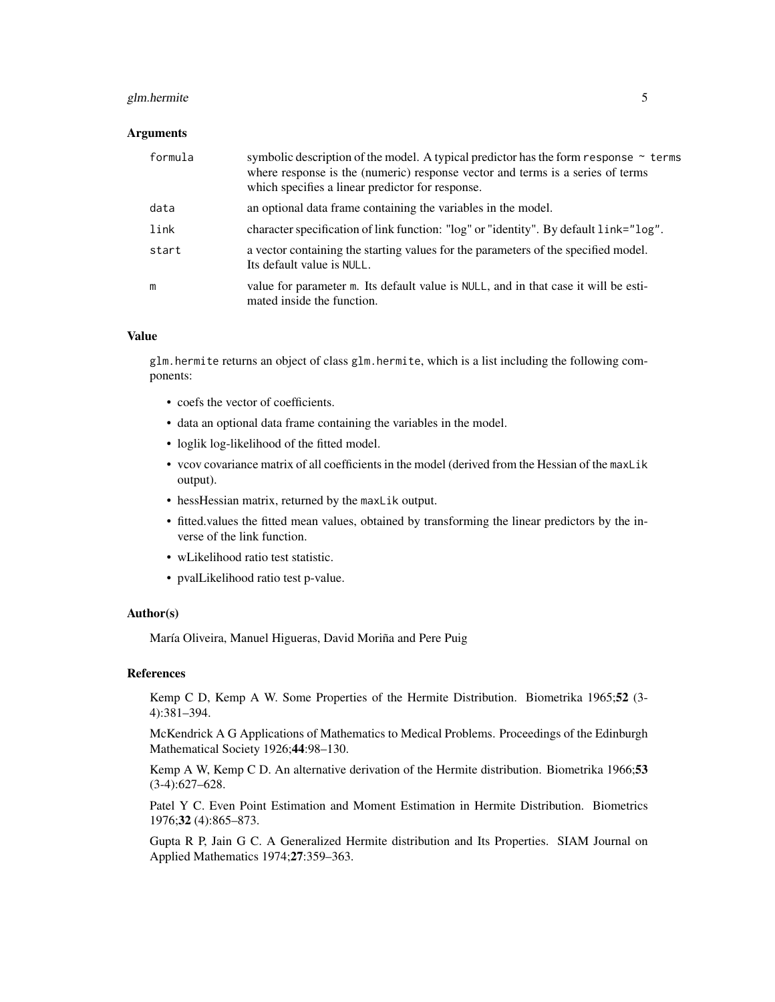#### glm.hermite 5

#### Arguments

| formula | symbolic description of the model. A typical predictor has the form response $\sim$ terms<br>where response is the (numeric) response vector and terms is a series of terms<br>which specifies a linear predictor for response. |
|---------|---------------------------------------------------------------------------------------------------------------------------------------------------------------------------------------------------------------------------------|
| data    | an optional data frame containing the variables in the model.                                                                                                                                                                   |
| link    | character specification of link function: "log" or "identity". By default link="log".                                                                                                                                           |
| start   | a vector containing the starting values for the parameters of the specified model.<br>Its default value is NULL.                                                                                                                |
| m       | value for parameter m. Its default value is NULL, and in that case it will be esti-<br>mated inside the function.                                                                                                               |

#### Value

glm.hermite returns an object of class glm.hermite, which is a list including the following components:

- coefs the vector of coefficients.
- data an optional data frame containing the variables in the model.
- loglik log-likelihood of the fitted model.
- vcov covariance matrix of all coefficients in the model (derived from the Hessian of the maxLik output).
- hessHessian matrix, returned by the maxLik output.
- fitted.values the fitted mean values, obtained by transforming the linear predictors by the inverse of the link function.
- wLikelihood ratio test statistic.
- pvalLikelihood ratio test p-value.

#### Author(s)

María Oliveira, Manuel Higueras, David Moriña and Pere Puig

#### References

Kemp C D, Kemp A W. Some Properties of the Hermite Distribution. Biometrika 1965;52 (3- 4):381–394.

McKendrick A G Applications of Mathematics to Medical Problems. Proceedings of the Edinburgh Mathematical Society 1926;44:98–130.

Kemp A W, Kemp C D. An alternative derivation of the Hermite distribution. Biometrika 1966;53 (3-4):627–628.

Patel Y C. Even Point Estimation and Moment Estimation in Hermite Distribution. Biometrics 1976;32 (4):865–873.

Gupta R P, Jain G C. A Generalized Hermite distribution and Its Properties. SIAM Journal on Applied Mathematics 1974;27:359–363.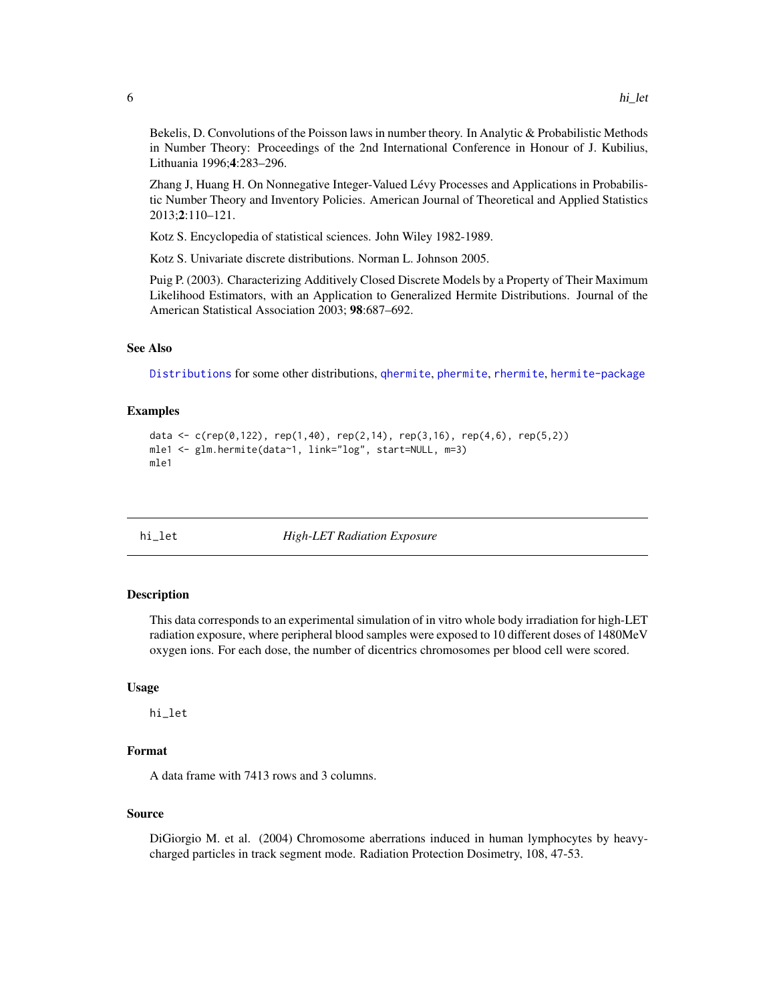<span id="page-5-0"></span>Bekelis, D. Convolutions of the Poisson laws in number theory. In Analytic & Probabilistic Methods in Number Theory: Proceedings of the 2nd International Conference in Honour of J. Kubilius, Lithuania 1996;4:283–296.

Zhang J, Huang H. On Nonnegative Integer-Valued Lévy Processes and Applications in Probabilistic Number Theory and Inventory Policies. American Journal of Theoretical and Applied Statistics 2013;2:110–121.

Kotz S. Encyclopedia of statistical sciences. John Wiley 1982-1989.

Kotz S. Univariate discrete distributions. Norman L. Johnson 2005.

Puig P. (2003). Characterizing Additively Closed Discrete Models by a Property of Their Maximum Likelihood Estimators, with an Application to Generalized Hermite Distributions. Journal of the American Statistical Association 2003; 98:687–692.

#### See Also

[Distributions](#page-0-0) for some other distributions, [qhermite](#page-8-1), [phermite](#page-7-1), [rhermite](#page-9-1), [hermite-package](#page-1-1)

### Examples

```
data <- c(rep(0,122), rep(1,40), rep(2,14), rep(3,16), rep(4,6), rep(5,2))
mle1 <- glm.hermite(data~1, link="log", start=NULL, m=3)
mle1
```
hi\_let *High-LET Radiation Exposure*

#### Description

This data corresponds to an experimental simulation of in vitro whole body irradiation for high-LET radiation exposure, where peripheral blood samples were exposed to 10 different doses of 1480MeV oxygen ions. For each dose, the number of dicentrics chromosomes per blood cell were scored.

#### Usage

hi\_let

#### Format

A data frame with 7413 rows and 3 columns.

#### Source

DiGiorgio M. et al. (2004) Chromosome aberrations induced in human lymphocytes by heavycharged particles in track segment mode. Radiation Protection Dosimetry, 108, 47-53.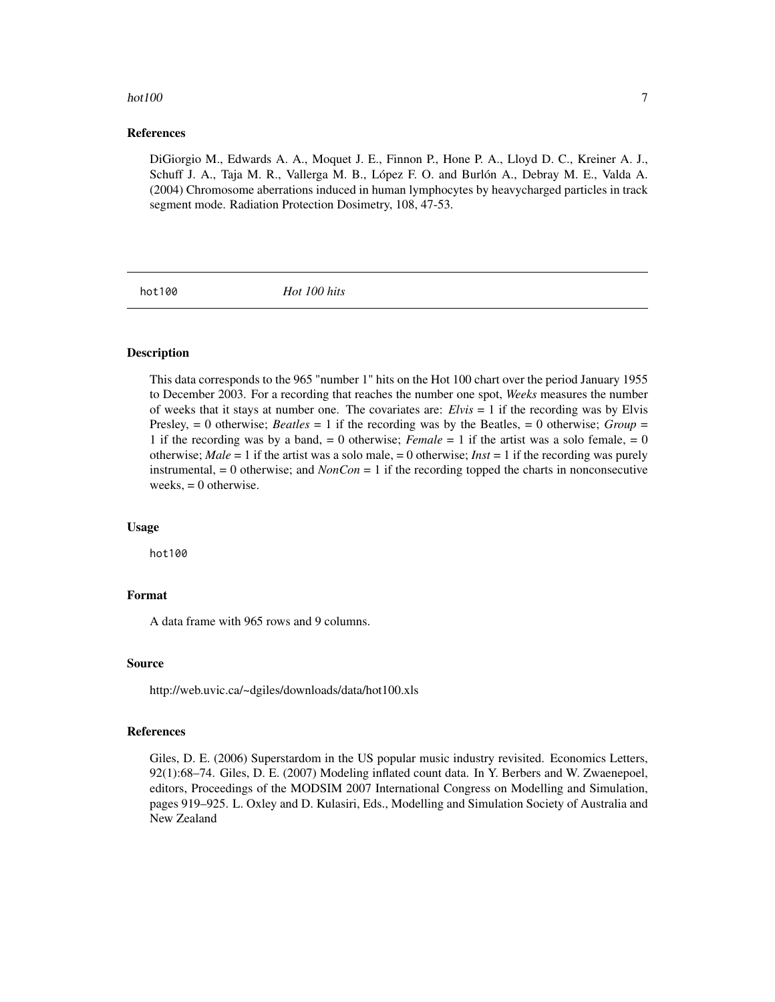#### <span id="page-6-0"></span>hot $100$   $7$

#### References

DiGiorgio M., Edwards A. A., Moquet J. E., Finnon P., Hone P. A., Lloyd D. C., Kreiner A. J., Schuff J. A., Taja M. R., Vallerga M. B., López F. O. and Burlón A., Debray M. E., Valda A. (2004) Chromosome aberrations induced in human lymphocytes by heavycharged particles in track segment mode. Radiation Protection Dosimetry, 108, 47-53.

hot100 *Hot 100 hits*

#### Description

This data corresponds to the 965 "number 1" hits on the Hot 100 chart over the period January 1955 to December 2003. For a recording that reaches the number one spot, *Weeks* measures the number of weeks that it stays at number one. The covariates are: *Elvis* = 1 if the recording was by Elvis Presley, = 0 otherwise; *Beatles* = 1 if the recording was by the Beatles, = 0 otherwise; *Group* = 1 if the recording was by a band, = 0 otherwise; *Female* = 1 if the artist was a solo female, = 0 otherwise; *Male* = 1 if the artist was a solo male, = 0 otherwise; *Inst* = 1 if the recording was purely instrumental, = 0 otherwise; and *NonCon* = 1 if the recording topped the charts in nonconsecutive weeks,  $= 0$  otherwise.

#### Usage

hot100

#### Format

A data frame with 965 rows and 9 columns.

#### Source

http://web.uvic.ca/~dgiles/downloads/data/hot100.xls

### References

Giles, D. E. (2006) Superstardom in the US popular music industry revisited. Economics Letters, 92(1):68–74. Giles, D. E. (2007) Modeling inflated count data. In Y. Berbers and W. Zwaenepoel, editors, Proceedings of the MODSIM 2007 International Congress on Modelling and Simulation, pages 919–925. L. Oxley and D. Kulasiri, Eds., Modelling and Simulation Society of Australia and New Zealand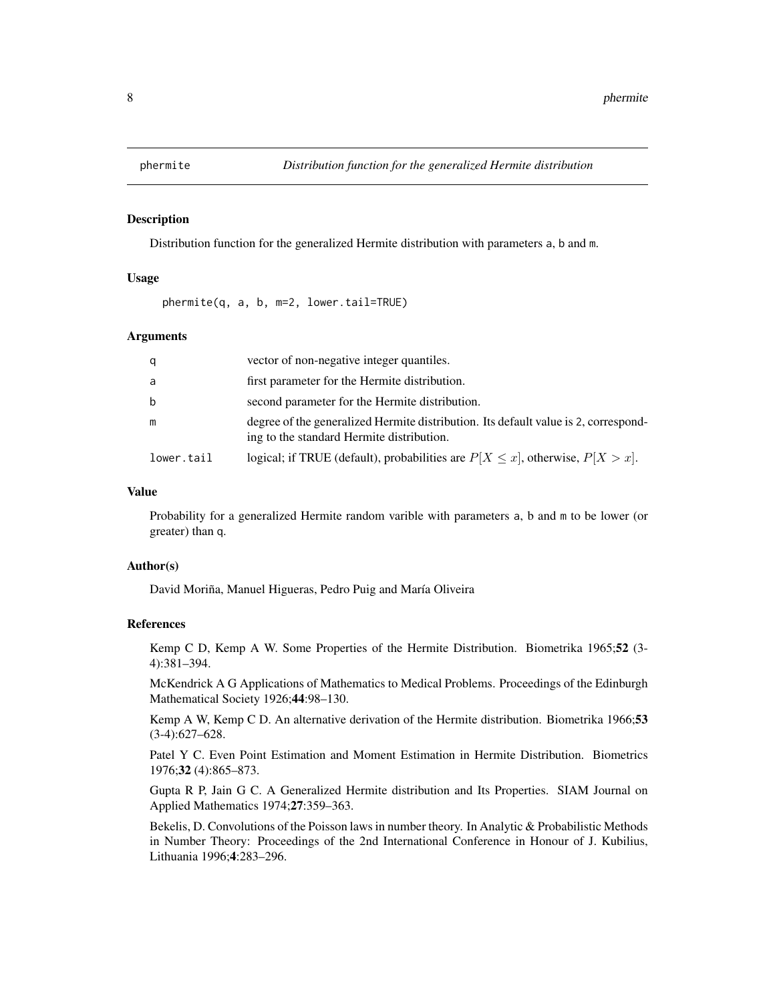<span id="page-7-1"></span><span id="page-7-0"></span>

#### Description

Distribution function for the generalized Hermite distribution with parameters a, b and m.

### Usage

phermite(q, a, b, m=2, lower.tail=TRUE)

#### Arguments

| q          | vector of non-negative integer quantiles.                                                                                        |
|------------|----------------------------------------------------------------------------------------------------------------------------------|
| -a         | first parameter for the Hermite distribution.                                                                                    |
| b          | second parameter for the Hermite distribution.                                                                                   |
| m          | degree of the generalized Hermite distribution. Its default value is 2, correspond-<br>ing to the standard Hermite distribution. |
| lower.tail | logical; if TRUE (default), probabilities are $P[X \le x]$ , otherwise, $P[X > x]$ .                                             |

#### Value

Probability for a generalized Hermite random varible with parameters a, b and m to be lower (or greater) than q.

#### Author(s)

David Moriña, Manuel Higueras, Pedro Puig and María Oliveira

#### References

Kemp C D, Kemp A W. Some Properties of the Hermite Distribution. Biometrika 1965;52 (3- 4):381–394.

McKendrick A G Applications of Mathematics to Medical Problems. Proceedings of the Edinburgh Mathematical Society 1926;44:98–130.

Kemp A W, Kemp C D. An alternative derivation of the Hermite distribution. Biometrika 1966;53 (3-4):627–628.

Patel Y C. Even Point Estimation and Moment Estimation in Hermite Distribution. Biometrics 1976;32 (4):865–873.

Gupta R P, Jain G C. A Generalized Hermite distribution and Its Properties. SIAM Journal on Applied Mathematics 1974;27:359–363.

Bekelis, D. Convolutions of the Poisson laws in number theory. In Analytic & Probabilistic Methods in Number Theory: Proceedings of the 2nd International Conference in Honour of J. Kubilius, Lithuania 1996;4:283–296.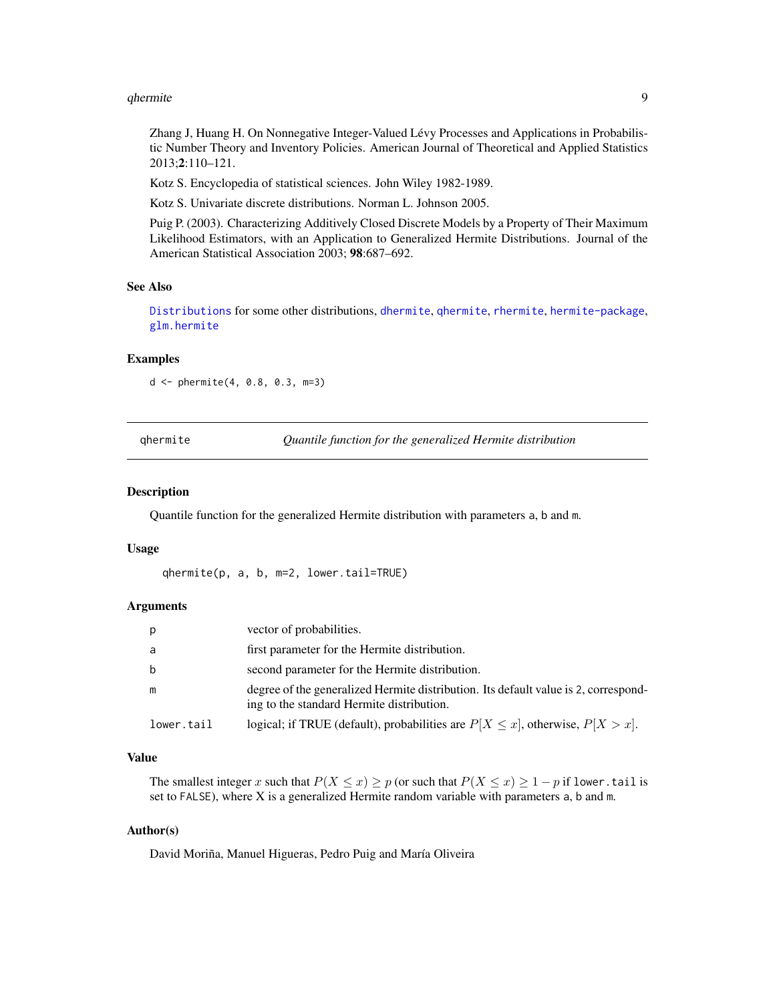#### <span id="page-8-0"></span>qhermite that the set of the set of the set of the set of the set of the set of the set of the set of the set of the set of the set of the set of the set of the set of the set of the set of the set of the set of the set of

Zhang J, Huang H. On Nonnegative Integer-Valued Lévy Processes and Applications in Probabilistic Number Theory and Inventory Policies. American Journal of Theoretical and Applied Statistics 2013;2:110–121.

Kotz S. Encyclopedia of statistical sciences. John Wiley 1982-1989.

Kotz S. Univariate discrete distributions. Norman L. Johnson 2005.

Puig P. (2003). Characterizing Additively Closed Discrete Models by a Property of Their Maximum Likelihood Estimators, with an Application to Generalized Hermite Distributions. Journal of the American Statistical Association 2003; 98:687–692.

#### See Also

[Distributions](#page-0-0) for some other distributions, [dhermite](#page-2-1), [qhermite](#page-8-1), [rhermite](#page-9-1), [hermite-package](#page-1-1), [glm.hermite](#page-3-1)

#### Examples

d <- phermite(4, 0.8, 0.3, m=3)

<span id="page-8-1"></span>

|  | ghermite |  |
|--|----------|--|
|  |          |  |
|  |          |  |
|  |          |  |

qhermite *Quantile function for the generalized Hermite distribution*

#### Description

Quantile function for the generalized Hermite distribution with parameters a, b and m.

#### Usage

qhermite(p, a, b, m=2, lower.tail=TRUE)

#### Arguments

| p          | vector of probabilities.                                                                                                         |
|------------|----------------------------------------------------------------------------------------------------------------------------------|
| a          | first parameter for the Hermite distribution.                                                                                    |
| b          | second parameter for the Hermite distribution.                                                                                   |
| m          | degree of the generalized Hermite distribution. Its default value is 2, correspond-<br>ing to the standard Hermite distribution. |
| lower.tail | logical; if TRUE (default), probabilities are $P[X \le x]$ , otherwise, $P[X > x]$ .                                             |

#### Value

The smallest integer x such that  $P(X \le x) \ge p$  (or such that  $P(X \le x) \ge 1 - p$  if lower.tail is set to FALSE), where  $X$  is a generalized Hermite random variable with parameters  $a$ ,  $b$  and  $m$ .

#### Author(s)

David Moriña, Manuel Higueras, Pedro Puig and María Oliveira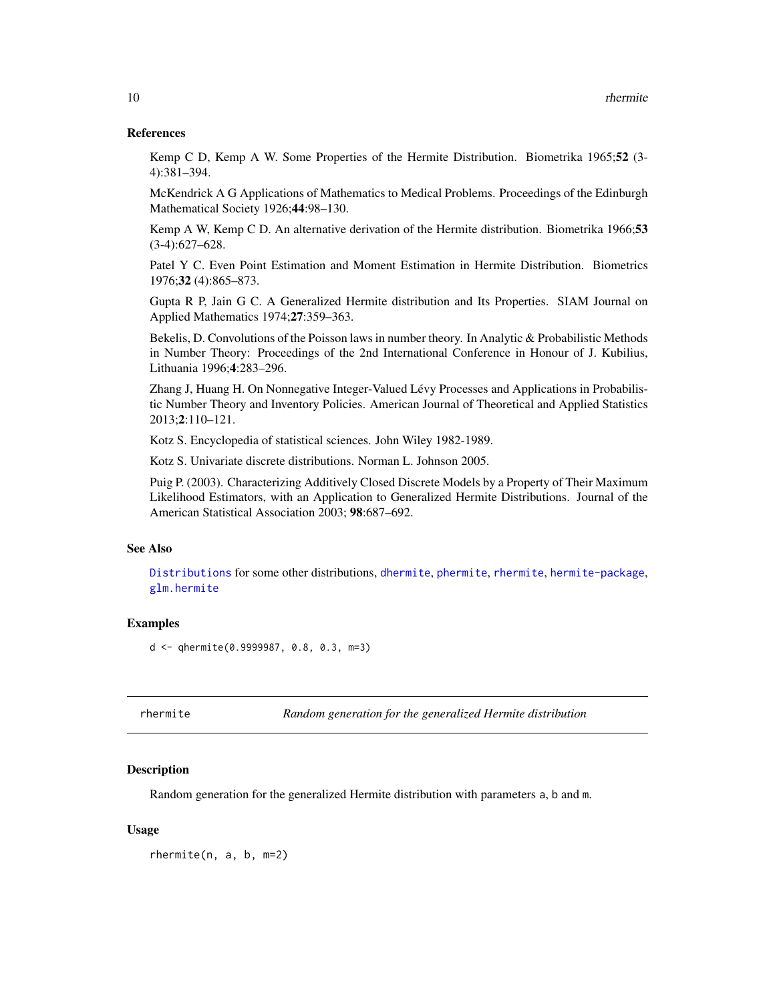#### <span id="page-9-0"></span>References

Kemp C D, Kemp A W. Some Properties of the Hermite Distribution. Biometrika 1965;52 (3- 4):381–394.

McKendrick A G Applications of Mathematics to Medical Problems. Proceedings of the Edinburgh Mathematical Society 1926;44:98–130.

Kemp A W, Kemp C D. An alternative derivation of the Hermite distribution. Biometrika 1966;53 (3-4):627–628.

Patel Y C. Even Point Estimation and Moment Estimation in Hermite Distribution. Biometrics 1976;32 (4):865–873.

Gupta R P, Jain G C. A Generalized Hermite distribution and Its Properties. SIAM Journal on Applied Mathematics 1974;27:359–363.

Bekelis, D. Convolutions of the Poisson laws in number theory. In Analytic & Probabilistic Methods in Number Theory: Proceedings of the 2nd International Conference in Honour of J. Kubilius, Lithuania 1996;4:283–296.

Zhang J, Huang H. On Nonnegative Integer-Valued Lévy Processes and Applications in Probabilistic Number Theory and Inventory Policies. American Journal of Theoretical and Applied Statistics 2013;2:110–121.

Kotz S. Encyclopedia of statistical sciences. John Wiley 1982-1989.

Kotz S. Univariate discrete distributions. Norman L. Johnson 2005.

Puig P. (2003). Characterizing Additively Closed Discrete Models by a Property of Their Maximum Likelihood Estimators, with an Application to Generalized Hermite Distributions. Journal of the American Statistical Association 2003; 98:687–692.

#### See Also

[Distributions](#page-0-0) for some other distributions, [dhermite](#page-2-1), [phermite](#page-7-1), [rhermite](#page-9-1), [hermite-package](#page-1-1), [glm.hermite](#page-3-1)

#### Examples

d <- qhermite(0.9999987, 0.8, 0.3, m=3)

<span id="page-9-1"></span>rhermite *Random generation for the generalized Hermite distribution*

### Description

Random generation for the generalized Hermite distribution with parameters a, b and m.

#### Usage

rhermite(n, a, b, m=2)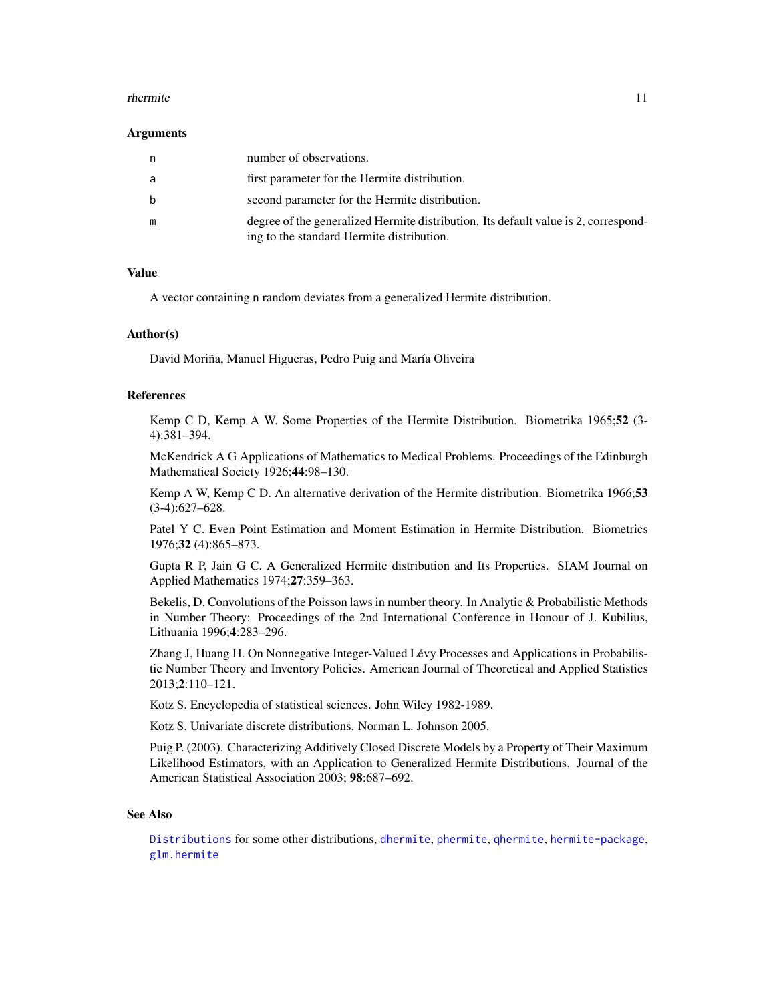#### <span id="page-10-0"></span>rhermite the contract of the contract of the contract of the contract of the contract of the contract of the contract of the contract of the contract of the contract of the contract of the contract of the contract of the c

#### Arguments

| n | number of observations.                                                                                                          |
|---|----------------------------------------------------------------------------------------------------------------------------------|
| a | first parameter for the Hermite distribution.                                                                                    |
| b | second parameter for the Hermite distribution.                                                                                   |
| m | degree of the generalized Hermite distribution. Its default value is 2, correspond-<br>ing to the standard Hermite distribution. |

#### Value

A vector containing n random deviates from a generalized Hermite distribution.

#### Author(s)

David Moriña, Manuel Higueras, Pedro Puig and María Oliveira

#### References

Kemp C D, Kemp A W. Some Properties of the Hermite Distribution. Biometrika 1965;52 (3- 4):381–394.

McKendrick A G Applications of Mathematics to Medical Problems. Proceedings of the Edinburgh Mathematical Society 1926;44:98–130.

Kemp A W, Kemp C D. An alternative derivation of the Hermite distribution. Biometrika 1966;53 (3-4):627–628.

Patel Y C. Even Point Estimation and Moment Estimation in Hermite Distribution. Biometrics 1976;32 (4):865–873.

Gupta R P, Jain G C. A Generalized Hermite distribution and Its Properties. SIAM Journal on Applied Mathematics 1974;27:359–363.

Bekelis, D. Convolutions of the Poisson laws in number theory. In Analytic & Probabilistic Methods in Number Theory: Proceedings of the 2nd International Conference in Honour of J. Kubilius, Lithuania 1996;4:283–296.

Zhang J, Huang H. On Nonnegative Integer-Valued Lévy Processes and Applications in Probabilistic Number Theory and Inventory Policies. American Journal of Theoretical and Applied Statistics 2013;2:110–121.

Kotz S. Encyclopedia of statistical sciences. John Wiley 1982-1989.

Kotz S. Univariate discrete distributions. Norman L. Johnson 2005.

Puig P. (2003). Characterizing Additively Closed Discrete Models by a Property of Their Maximum Likelihood Estimators, with an Application to Generalized Hermite Distributions. Journal of the American Statistical Association 2003; 98:687–692.

#### See Also

[Distributions](#page-0-0) for some other distributions, [dhermite](#page-2-1), [phermite](#page-7-1), [qhermite](#page-8-1), [hermite-package](#page-1-1), [glm.hermite](#page-3-1)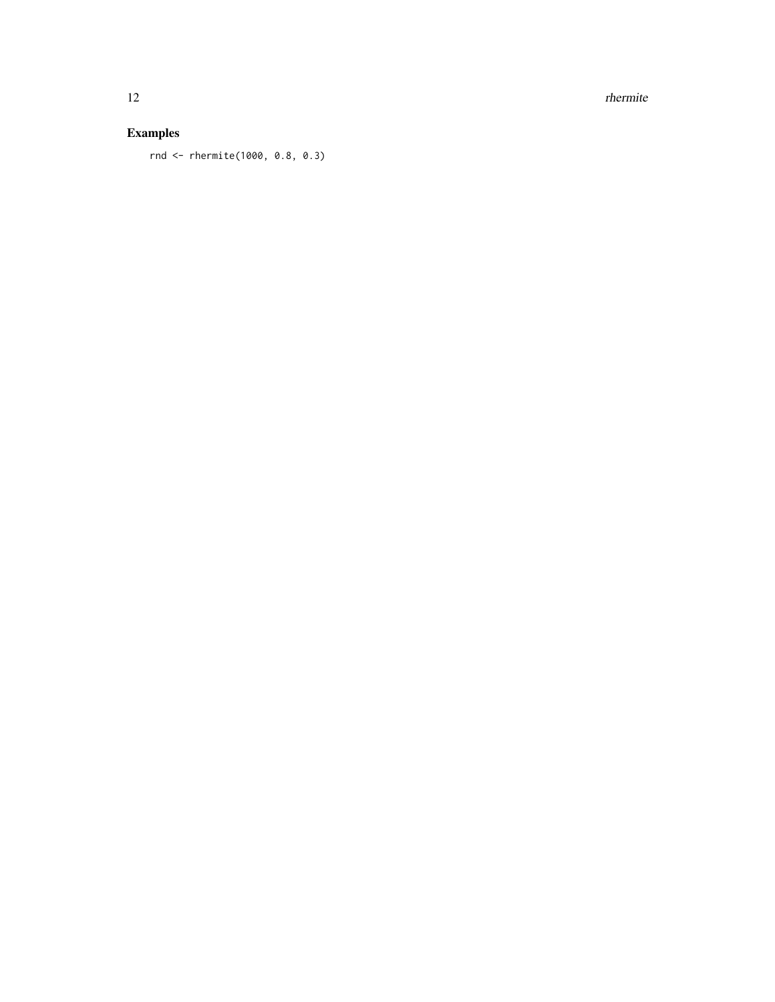12 rhermite

### Examples

rnd <- rhermite(1000, 0.8, 0.3)